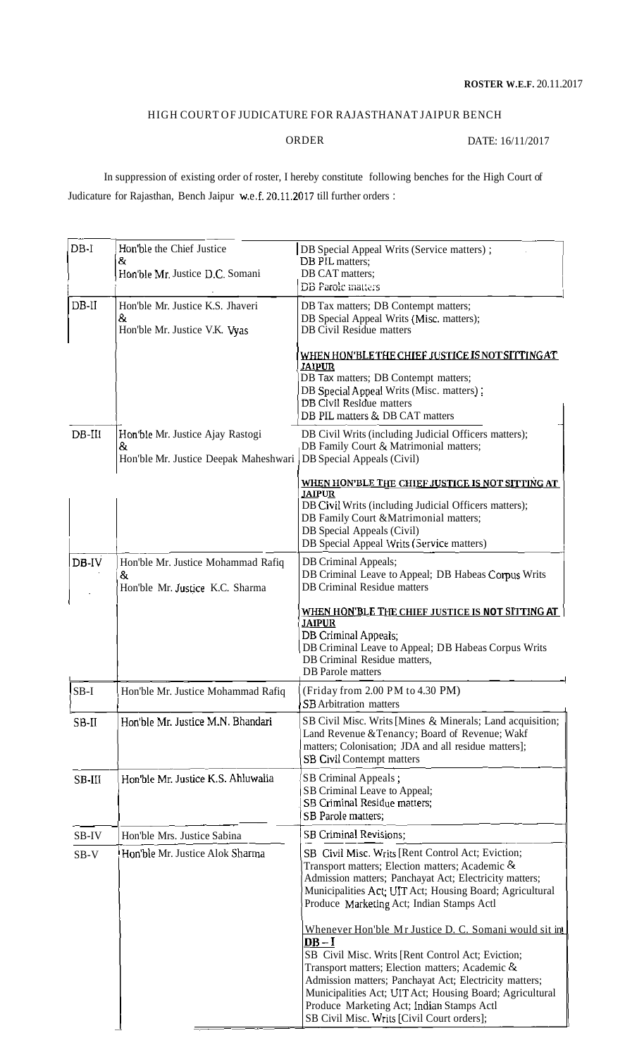## HIGH COURT OF JUDICATURE FOR RAJASTHANAT JAIPUR BENCH

ORDER DATE: 16/11/2017

In suppression of existing order of roster, I hereby constitute following benches for the High Court of Judicature for Rajasthan, Bench Jaipur w.e.f. 20.11.2017 till further orders : In suppression of existing order of roster, I hereby constitute following benches for the High Court of<br>Judicature for Rajasthan, Bench Jaipur w.e.f. 20.11.2017 till further orders :<br> **DB Special Appeal Writs (Service matt** 

| $DB-I$    | Hon'ble the Chief Justice                  | DB Special Appeal Writs (Service matters);                                                                                                                     |
|-----------|--------------------------------------------|----------------------------------------------------------------------------------------------------------------------------------------------------------------|
|           | &<br>Hon'ble Mr. Justice D.C. Somani       | DB PIL matters;<br>DB CAT matters;                                                                                                                             |
|           |                                            | <b>DB</b> Parole matters                                                                                                                                       |
| $DB-II$   | Hon'ble Mr. Justice K.S. Jhaveri           | DB Tax matters; DB Contempt matters;                                                                                                                           |
|           | 8.<br>Hon'ble Mr. Justice V.K. Vyas        | DB Special Appeal Writs (Misc. matters);<br><b>DB Civil Residue matters</b>                                                                                    |
|           |                                            | WHEN HON'BLE THE CHIEF JUSTICE IS NOT SITTING AT<br><u>JAIPUR</u>                                                                                              |
|           |                                            | DB Tax matters; DB Contempt matters;<br>DB Special Appeal Writs (Misc. matters):<br>DB Civil Residue matters                                                   |
|           |                                            | DB PIL matters & DB CAT matters                                                                                                                                |
| $DB$ -III | Hon'ble Mr. Justice Ajay Rastogi           | DB Civil Writs (including Judicial Officers matters);                                                                                                          |
|           | &<br>Hon'ble Mr. Justice Deepak Maheshwari | DB Family Court & Matrimonial matters;<br>DB Special Appeals (Civil)                                                                                           |
|           |                                            | WHEN HON'BLE THE CHIEF JUSTICE IS NOT SITTING AT<br><b>JAIPUR</b>                                                                                              |
|           |                                            | DB Civil Writs (including Judicial Officers matters);                                                                                                          |
|           |                                            | DB Family Court & Matrimonial matters;<br>DB Special Appeals (Civil)                                                                                           |
|           |                                            | DB Special Appeal Writs (Service matters)                                                                                                                      |
| DB-IV     | Hon'ble Mr. Justice Mohammad Rafiq         | DB Criminal Appeals;                                                                                                                                           |
|           | 8<br>Hon'ble Mr. Justice K.C. Sharma       | DB Criminal Leave to Appeal; DB Habeas Corpus Writs<br><b>DB</b> Criminal Residue matters                                                                      |
|           |                                            |                                                                                                                                                                |
|           |                                            | WHEN HON'BLE THE CHIEF JUSTICE IS NOT SITTING AT<br><b>JAIPUR</b>                                                                                              |
|           |                                            | DB Criminal Appeals;                                                                                                                                           |
|           |                                            | DB Criminal Leave to Appeal; DB Habeas Corpus Writs<br>DB Criminal Residue matters,                                                                            |
|           |                                            | <b>DB</b> Parole matters                                                                                                                                       |
| SB-I      | Hon'ble Mr. Justice Mohammad Rafiq         | (Friday from 2.00 PM to 4.30 PM)<br><b>SB</b> Arbitration matters                                                                                              |
| SB-II     | Hon'ble Mr. Justice M.N. Bhandari          | SB Civil Misc. Writs [Mines & Minerals; Land acquisition;<br>Land Revenue & Tenancy; Board of Revenue; Wakf                                                    |
|           |                                            | matters; Colonisation; JDA and all residue matters];                                                                                                           |
|           |                                            | <b>SB Civil Contempt matters</b>                                                                                                                               |
| SB-III    | Hon'ble Mr. Justice K.S. Ahluwalia         | SB Criminal Appeals;<br>SB Criminal Leave to Appeal;                                                                                                           |
|           |                                            | SB Criminal Residue matters;                                                                                                                                   |
|           |                                            | SB Parole matters;                                                                                                                                             |
| SB-IV     | Hon'ble Mrs. Justice Sabina                | SB Criminal Revisions;                                                                                                                                         |
| $SB-V$    | Hon'ble Mr. Justice Alok Sharma            | SB Civil Misc. Writs [Rent Control Act; Eviction;<br>Transport matters; Election matters; Academic &<br>Admission matters; Panchayat Act; Electricity matters; |
|           |                                            | Municipalities Act; UIT Act; Housing Board; Agricultural<br>Produce Marketing Act; Indian Stamps Actl                                                          |
|           |                                            | Whenever Hon'ble Mr Justice D. C. Somani would sit in                                                                                                          |
|           |                                            | $DB-I$<br>SB Civil Misc. Writs [Rent Control Act; Eviction;                                                                                                    |
|           |                                            | Transport matters; Election matters; Academic &                                                                                                                |
|           |                                            | Admission matters; Panchayat Act; Electricity matters;<br>Municipalities Act; UIT Act; Housing Board; Agricultural                                             |
|           |                                            | Produce Marketing Act; Indian Stamps Actl                                                                                                                      |
|           |                                            | SB Civil Misc. Writs [Civil Court orders];                                                                                                                     |